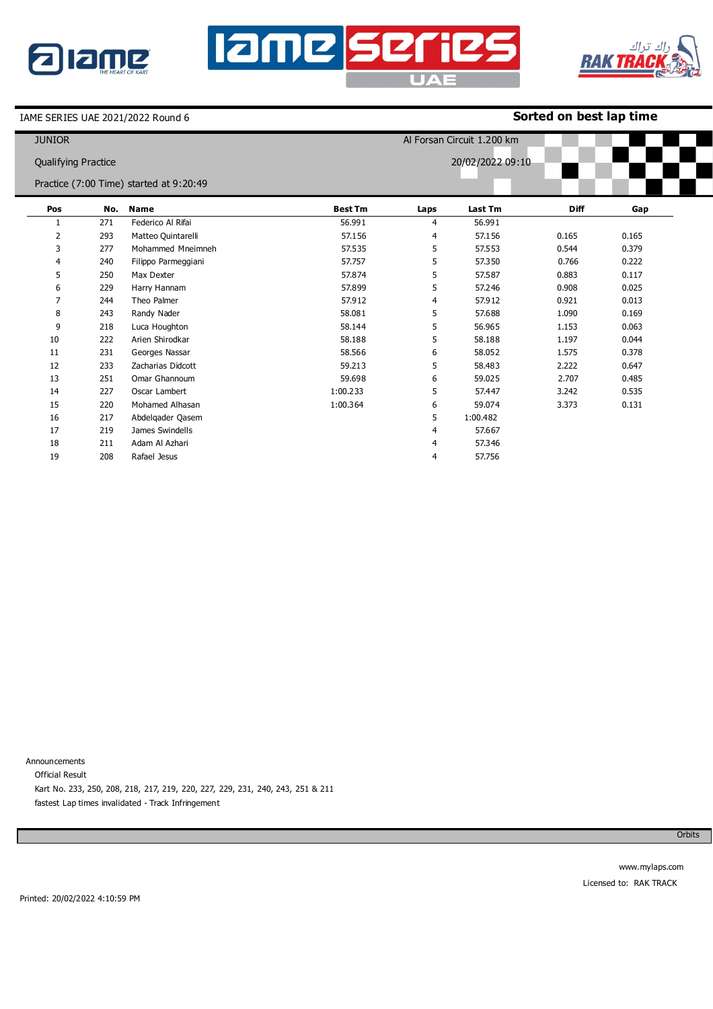

## **Iame series** UAE



IAME SERIES UAE 2021/2022 Round 6

## **Sorted on best lap time**

| <b>JUNIOR</b>              |     |                                         |                |      | Al Forsan Circuit 1.200 km |             |       |
|----------------------------|-----|-----------------------------------------|----------------|------|----------------------------|-------------|-------|
| <b>Qualifying Practice</b> |     |                                         |                |      | 20/02/2022 09:10           |             |       |
|                            |     | Practice (7:00 Time) started at 9:20:49 |                |      |                            |             |       |
| Pos                        |     | No. Name                                | <b>Best Tm</b> | Laps | Last Tm                    | <b>Diff</b> | Gap   |
|                            | 271 | Federico Al Rifai                       | 56.991         | 4    | 56.991                     |             |       |
| 2                          | 293 | Matteo Quintarelli                      | 57.156         | 4    | 57.156                     | 0.165       | 0.165 |
| 3                          | 277 | Mohammed Mneimneh                       | 57.535         | 5    | 57.553                     | 0.544       | 0.379 |
| 4                          | 240 | Filippo Parmeggiani                     | 57.757         | 5    | 57.350                     | 0.766       | 0.222 |
| 5                          | 250 | Max Dexter                              | 57.874         | 5    | 57.587                     | 0.883       | 0.117 |
| 6                          | 229 | Harry Hannam                            | 57.899         | 5    | 57.246                     | 0.908       | 0.025 |
| 7                          | 244 | Theo Palmer                             | 57.912         | 4    | 57,912                     | 0.921       | 0.013 |
| 8                          | 243 | Randy Nader                             | 58.081         | 5    | 57,688                     | 1.090       | 0.169 |
| 9                          | 218 | Luca Houghton                           | 58.144         | 5    | 56.965                     | 1.153       | 0.063 |
| 10                         | 222 | Arien Shirodkar                         | 58.188         | 5    | 58.188                     | 1.197       | 0.044 |
| 11                         | 231 | Georges Nassar                          | 58.566         | 6    | 58.052                     | 1.575       | 0.378 |
| 12                         | 233 | Zacharias Didcott                       | 59.213         | 5    | 58.483                     | 2.222       | 0.647 |
| 13                         | 251 | Omar Ghannoum                           | 59.698         | 6    | 59.025                     | 2.707       | 0.485 |
| 14                         | 227 | Oscar Lambert                           | 1:00.233       | 5    | 57.447                     | 3.242       | 0.535 |
| 15                         | 220 | Mohamed Alhasan                         | 1:00.364       | 6    | 59.074                     | 3.373       | 0.131 |
| 16                         | 217 | Abdelgader Qasem                        |                | 5    | 1:00.482                   |             |       |
| 17                         | 219 | James Swindells                         |                | 4    | 57.667                     |             |       |
| 18                         | 211 | Adam Al Azhari                          |                | 4    | 57.346                     |             |       |
| 19                         | 208 | Rafael Jesus                            |                | 4    | 57.756                     |             |       |

Announcements Official Result Kart No. 233, 250, 208, 218, 217, 219, 220, 227, 229, 231, 240, 243, 251 & 211 fastest Lap times invalidated - Track Infringement

**Orbits**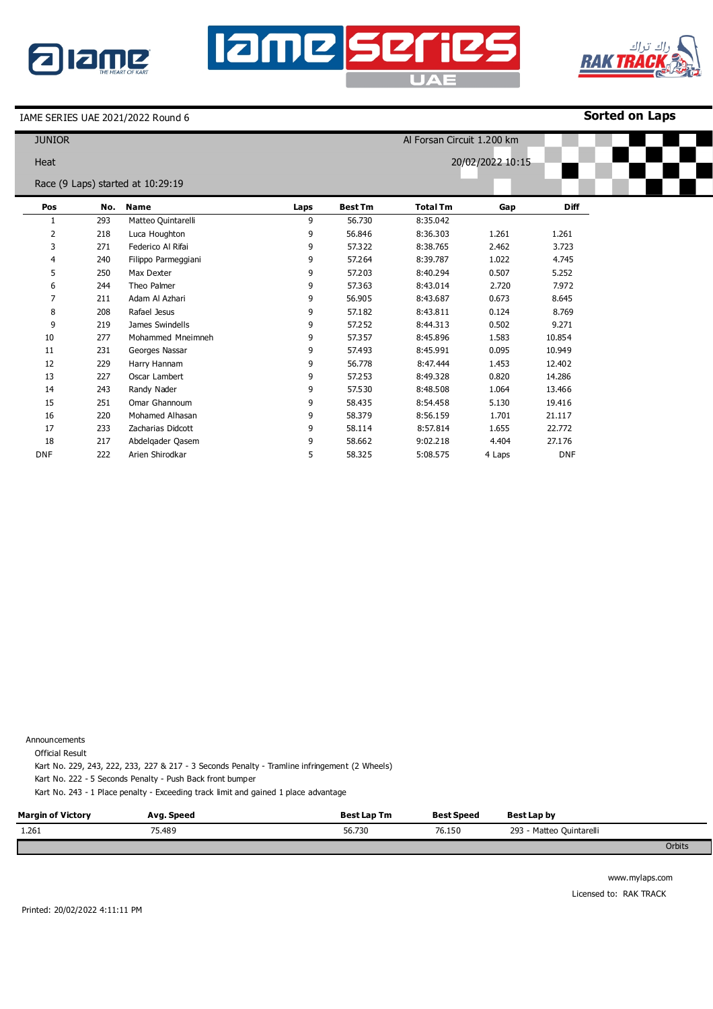





IAME SERIES UAE 2021/2022 Round 6

**Sorted on Laps**

| <b>JUNIOR</b> |     |                                   |      |                |                 | Al Forsan Circuit 1.200 km |             |  |  |
|---------------|-----|-----------------------------------|------|----------------|-----------------|----------------------------|-------------|--|--|
| Heat          |     |                                   |      |                |                 | 20/02/2022 10:15           |             |  |  |
|               |     | Race (9 Laps) started at 10:29:19 |      |                |                 |                            |             |  |  |
| Pos           | No. | <b>Name</b>                       | Laps | <b>Best Tm</b> | <b>Total Tm</b> | Gap                        | <b>Diff</b> |  |  |
| 1             | 293 | Matteo Quintarelli                | 9    | 56.730         | 8:35.042        |                            |             |  |  |
| 2             | 218 | Luca Houghton                     | 9    | 56.846         | 8:36.303        | 1.261                      | 1.261       |  |  |
| 3             | 271 | Federico Al Rifai                 | 9    | 57.322         | 8:38.765        | 2.462                      | 3.723       |  |  |
| 4             | 240 | Filippo Parmeggiani               | 9    | 57.264         | 8:39.787        | 1.022                      | 4.745       |  |  |
| 5             | 250 | Max Dexter                        | 9    | 57.203         | 8:40.294        | 0.507                      | 5.252       |  |  |
| 6             | 244 | Theo Palmer                       | 9    | 57.363         | 8:43.014        | 2.720                      | 7.972       |  |  |
|               | 211 | Adam Al Azhari                    | 9    | 56.905         | 8:43.687        | 0.673                      | 8.645       |  |  |
| 8             | 208 | Rafael Jesus                      | 9    | 57.182         | 8:43.811        | 0.124                      | 8.769       |  |  |
| 9             | 219 | James Swindells                   | 9    | 57.252         | 8:44.313        | 0.502                      | 9.271       |  |  |
| 10            | 277 | Mohammed Mneimneh                 | 9    | 57.357         | 8:45.896        | 1.583                      | 10.854      |  |  |
| 11            | 231 | Georges Nassar                    | 9    | 57.493         | 8:45.991        | 0.095                      | 10.949      |  |  |
| 12            | 229 | Harry Hannam                      | 9    | 56.778         | 8:47.444        | 1.453                      | 12.402      |  |  |
| 13            | 227 | Oscar Lambert                     | 9    | 57.253         | 8:49.328        | 0.820                      | 14.286      |  |  |
| 14            | 243 | Randy Nader                       | 9    | 57.530         | 8:48.508        | 1.064                      | 13.466      |  |  |
| 15            | 251 | Omar Ghannoum                     | 9    | 58.435         | 8:54.458        | 5.130                      | 19.416      |  |  |
| 16            | 220 | Mohamed Alhasan                   | 9    | 58.379         | 8:56.159        | 1.701                      | 21.117      |  |  |
| 17            | 233 | Zacharias Didcott                 | 9    | 58.114         | 8:57.814        | 1.655                      | 22.772      |  |  |
| 18            | 217 | Abdelgader Qasem                  | 9    | 58.662         | 9:02.218        | 4.404                      | 27.176      |  |  |
| <b>DNF</b>    | 222 | Arien Shirodkar                   | 5    | 58.325         | 5:08.575        | 4 Laps                     | <b>DNF</b>  |  |  |

Announcements

Official Result

Kart No. 229, 243, 222, 233, 227 & 217 - 3 Seconds Penalty - Tramline infringement (2 Wheels)

Kart No. 222 - 5 Seconds Penalty - Push Back front bumper

Kart No. 243 - 1 Place penalty - Exceeding track limit and gained 1 place advantage

| <b>Margin of Victory</b> | Avg. Speed | <b>Best Lap Tm</b> | <b>Best Speed</b> | Best Lap by              |               |
|--------------------------|------------|--------------------|-------------------|--------------------------|---------------|
| 1.261                    | 75.489     | 56.730             | 76.150            | 293 - Matteo Quintarelli |               |
|                          |            |                    |                   |                          | <b>Orbits</b> |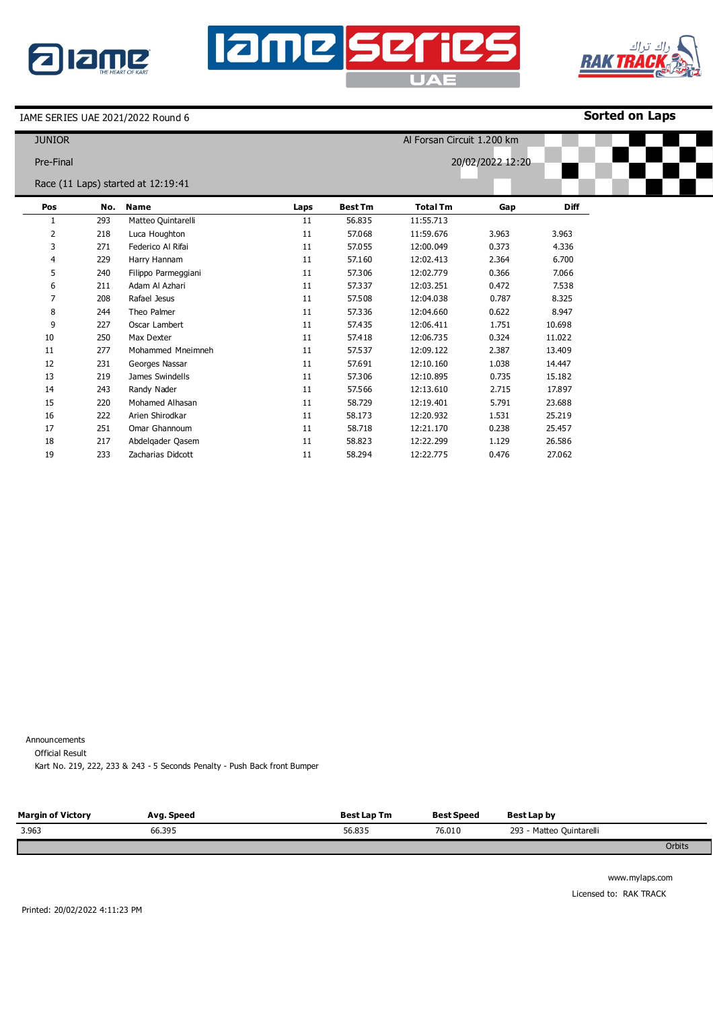





IAME SERIES UAE 2021/2022 Round 6

**Sorted on Laps**

| <b>JUNIOR</b>  |     |                                    |      |                | Al Forsan Circuit 1.200 km |                  |             |
|----------------|-----|------------------------------------|------|----------------|----------------------------|------------------|-------------|
|                |     |                                    |      |                |                            |                  |             |
| Pre-Final      |     |                                    |      |                |                            | 20/02/2022 12:20 |             |
|                |     | Race (11 Laps) started at 12:19:41 |      |                |                            |                  |             |
| Pos            | No. | <b>Name</b>                        | Laps | <b>Best Tm</b> | <b>Total Tm</b>            | Gap              | <b>Diff</b> |
| 1              | 293 | Matteo Quintarelli                 | 11   | 56.835         | 11:55.713                  |                  |             |
| 2              | 218 | Luca Houghton                      | 11   | 57.068         | 11:59.676                  | 3.963            | 3.963       |
| 3              | 271 | Federico Al Rifai                  | 11   | 57.055         | 12:00.049                  | 0.373            | 4.336       |
| 4              | 229 | Harry Hannam                       | 11   | 57.160         | 12:02.413                  | 2.364            | 6.700       |
| 5              | 240 | Filippo Parmeggiani                | 11   | 57.306         | 12:02.779                  | 0.366            | 7.066       |
| 6              | 211 | Adam Al Azhari                     | 11   | 57.337         | 12:03.251                  | 0.472            | 7.538       |
| $\overline{7}$ | 208 | Rafael Jesus                       | 11   | 57.508         | 12:04.038                  | 0.787            | 8.325       |
| 8              | 244 | Theo Palmer                        | 11   | 57.336         | 12:04.660                  | 0.622            | 8.947       |
| 9              | 227 | Oscar Lambert                      | 11   | 57.435         | 12:06.411                  | 1.751            | 10.698      |
| 10             | 250 | Max Dexter                         | 11   | 57.418         | 12:06.735                  | 0.324            | 11.022      |
| 11             | 277 | Mohammed Mneimneh                  | 11   | 57.537         | 12:09.122                  | 2.387            | 13.409      |
| 12             | 231 | Georges Nassar                     | 11   | 57.691         | 12:10.160                  | 1.038            | 14.447      |
| 13             | 219 | James Swindells                    | 11   | 57.306         | 12:10.895                  | 0.735            | 15.182      |
| 14             | 243 | Randy Nader                        | 11   | 57.566         | 12:13.610                  | 2.715            | 17,897      |
| 15             | 220 | Mohamed Alhasan                    | 11   | 58.729         | 12:19.401                  | 5.791            | 23.688      |
| 16             | 222 | Arien Shirodkar                    | 11   | 58.173         | 12:20.932                  | 1.531            | 25.219      |
| 17             | 251 | Omar Ghannoum                      | 11   | 58.718         | 12:21.170                  | 0.238            | 25.457      |
| 18             | 217 | Abdelgader Qasem                   | 11   | 58.823         | 12:22.299                  | 1.129            | 26.586      |
| 19             | 233 | Zacharias Didcott                  | 11   | 58.294         | 12:22.775                  | 0.476            | 27.062      |

Announcements

Official Result

Kart No. 219, 222, 233 & 243 - 5 Seconds Penalty - Push Back front Bumper

| <b>Margin of Victory</b> | Avg. Speed | <b>Best Lap Tm</b> | <b>Best Speed</b> | Best Lap by              |        |
|--------------------------|------------|--------------------|-------------------|--------------------------|--------|
| 3.963                    | 66.395     | 56.835             | 76.010            | 293 - Matteo Quintarelli |        |
|                          |            |                    |                   |                          | Orbits |